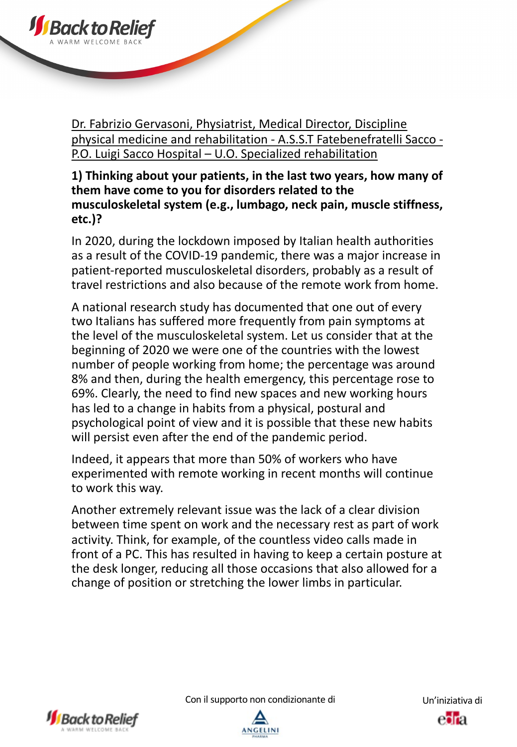

## **1) Thinking about your patients, in the last two years, how many of them have come to you for disorders related to the musculoskeletal system (e.g., lumbago, neck pain, muscle stiffness, etc.)?**

In 2020, during the lockdown imposed by Italian health authorities as a result of the COVID-19 pandemic, there was a major increase in patient-reported musculoskeletal disorders, probably as a result of travel restrictions and also because of the remote work from home.

A national research study has documented that one out of every two Italians has suffered more frequently from pain symptoms at the level of the musculoskeletal system. Let us consider that at the beginning of 2020 we were one of the countries with the lowest number of people working from home; the percentage was around 8% and then, during the health emergency, this percentage rose to 69%. Clearly, the need to find new spaces and new working hours has led to a change in habits from a physical, postural and psychological point of view and it is possible that these new habits will persist even after the end of the pandemic period.

Indeed, it appears that more than 50% of workers who have experimented with remote working in recent months will continue to work this way.

Another extremely relevant issue was the lack of a clear division between time spent on work and the necessary rest as part of work activity. Think, for example, of the countless video calls made in front of a PC. This has resulted in having to keep a certain posture at the desk longer, reducing all those occasions that also allowed for a change of position or stretching the lower limbs in particular.



**J**Back to R

Con il supporto non condizionante di Un'iniziativa di

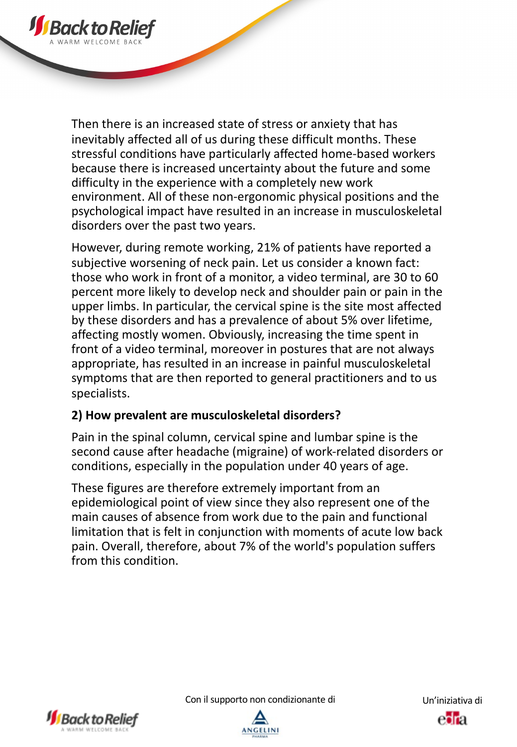

Then there is an increased state of stress or anxiety that has inevitably affected all of us during these difficult months. These stressful conditions have particularly affected home-based workers because there is increased uncertainty about the future and some difficulty in the experience with a completely new work environment. All of these non-ergonomic physical positions and the psychological impact have resulted in an increase in musculoskeletal disorders over the past two years.

However, during remote working, 21% of patients have reported a subjective worsening of neck pain. Let us consider a known fact: those who work in front of a monitor, a video terminal, are 30 to 60 percent more likely to develop neck and shoulder pain or pain in the upper limbs. In particular, the cervical spine is the site most affected by these disorders and has a prevalence of about 5% over lifetime, affecting mostly women. Obviously, increasing the time spent in front of a video terminal, moreover in postures that are not always appropriate, has resulted in an increase in painful musculoskeletal symptoms that are then reported to general practitioners and to us specialists.

# **2) How prevalent are musculoskeletal disorders?**

Pain in the spinal column, cervical spine and lumbar spine is the second cause after headache (migraine) of work-related disorders or conditions, especially in the population under 40 years of age.

These figures are therefore extremely important from an epidemiological point of view since they also represent one of the main causes of absence from work due to the pain and functional limitation that is felt in conjunction with moments of acute low back pain. Overall, therefore, about 7% of the world's population suffers from this condition.



Con il supporto non condizionante di Un'iniziativa di



esta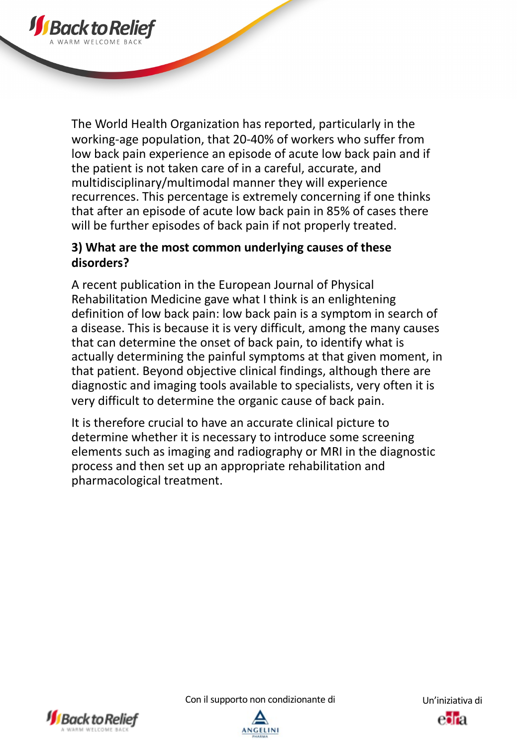

# **3) What are the most common underlying causes of these disorders?**

A recent publication in the European Journal of Physical Rehabilitation Medicine gave what I think is an enlightening definition of low back pain: low back pain is a symptom in search of a disease. This is because it is very difficult, among the many causes that can determine the onset of back pain, to identify what is actually determining the painful symptoms at that given moment, in that patient. Beyond objective clinical findings, although there are diagnostic and imaging tools available to specialists, very often it is very difficult to determine the organic cause of back pain.

It is therefore crucial to have an accurate clinical picture to determine whether it is necessary to introduce some screening elements such as imaging and radiography or MRI in the diagnostic process and then set up an appropriate rehabilitation and pharmacological treatment.



**JS** Back to R



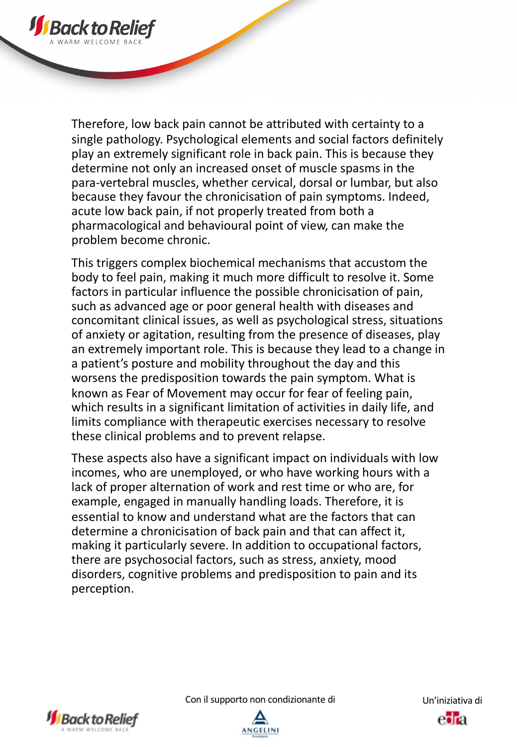

This triggers complex biochemical mechanisms that accustom the body to feel pain, making it much more difficult to resolve it. Some factors in particular influence the possible chronicisation of pain, such as advanced age or poor general health with diseases and concomitant clinical issues, as well as psychological stress, situations of anxiety or agitation, resulting from the presence of diseases, play an extremely important role. This is because they lead to a change in a patient's posture and mobility throughout the day and this worsens the predisposition towards the pain symptom. What is known as Fear of Movement may occur for fear of feeling pain, which results in a significant limitation of activities in daily life, and limits compliance with therapeutic exercises necessary to resolve these clinical problems and to prevent relapse.

These aspects also have a significant impact on individuals with low incomes, who are unemployed, or who have working hours with a lack of proper alternation of work and rest time or who are, for example, engaged in manually handling loads. Therefore, it is essential to know and understand what are the factors that can determine a chronicisation of back pain and that can affect it, making it particularly severe. In addition to occupational factors, there are psychosocial factors, such as stress, anxiety, mood disorders, cognitive problems and predisposition to pain and its perception.



**J**Back to R



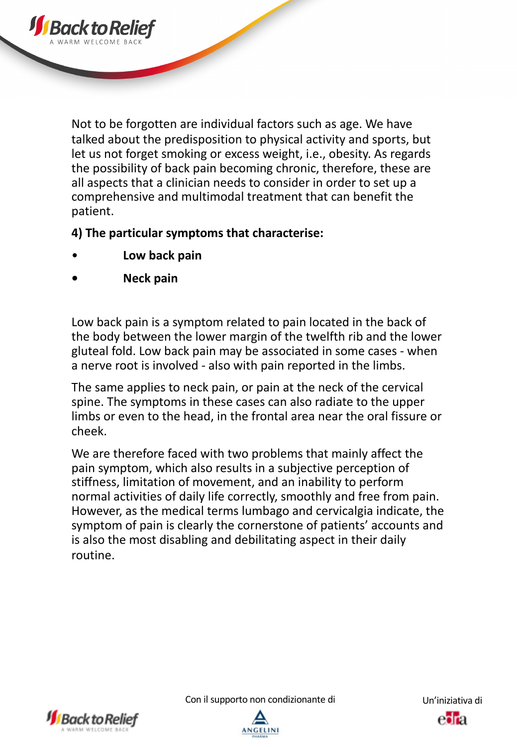Not to be forgotten are individual factors such as age. We have talked about the predisposition to physical activity and sports, but let us not forget smoking or excess weight, i.e., obesity. As regards the possibility of back pain becoming chronic, therefore, these are all aspects that a clinician needs to consider in order to set up a comprehensive and multimodal treatment that can benefit the patient.

**4) The particular symptoms that characterise:**

- **Low back pain**
- **• Neck pain**

Low back pain is a symptom related to pain located in the back of the body between the lower margin of the twelfth rib and the lower gluteal fold. Low back pain may be associated in some cases - when a nerve root is involved - also with pain reported in the limbs.

The same applies to neck pain, or pain at the neck of the cervical spine. The symptoms in these cases can also radiate to the upper limbs or even to the head, in the frontal area near the oral fissure or cheek.

We are therefore faced with two problems that mainly affect the pain symptom, which also results in a subjective perception of stiffness, limitation of movement, and an inability to perform normal activities of daily life correctly, smoothly and free from pain. However, as the medical terms lumbago and cervicalgia indicate, the symptom of pain is clearly the cornerstone of patients' accounts and is also the most disabling and debilitating aspect in their daily routine.



Con il supporto non condizionante di Un'iniziativa di



esta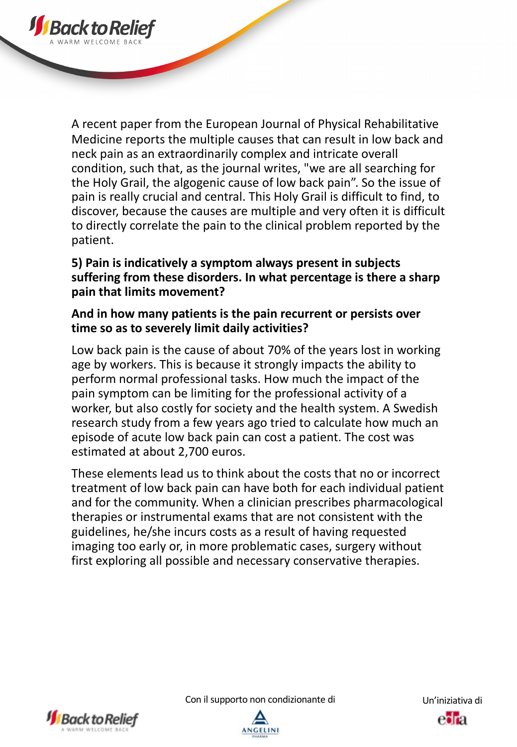A recent paper from the European Journal of Physical Rehabilitative Medicine reports the multiple causes that can result in low back and neck pain as an extraordinarily complex and intricate overall condition, such that, as the journal writes, "we are all searching for the Holy Grail, the algogenic cause of low back pain". So the issue of pain is really crucial and central. This Holy Grail is difficult to find, to discover, because the causes are multiple and very often it is difficult to directly correlate the pain to the clinical problem reported by the patient.

# **5) Pain is indicatively a symptom always present in subjects suffering from these disorders. In what percentage is there a sharp pain that limits movement?**

### **And in how many patients is the pain recurrent or persists over time so as to severely limit daily activities?**

Low back pain is the cause of about 70% of the years lost in working age by workers. This is because it strongly impacts the ability to perform normal professional tasks. How much the impact of the pain symptom can be limiting for the professional activity of a worker, but also costly for society and the health system. A Swedish research study from a few years ago tried to calculate how much an episode of acute low back pain can cost a patient. The cost was estimated at about 2,700 euros.

These elements lead us to think about the costs that no or incorrect treatment of low back pain can have both for each individual patient and for the community. When a clinician prescribes pharmacological therapies or instrumental exams that are not consistent with the guidelines, he/she incurs costs as a result of having requested imaging too early or, in more problematic cases, surgery without first exploring all possible and necessary conservative therapies.



**J**Back to R

Con il supporto non condizionante di Un'iniziativa di

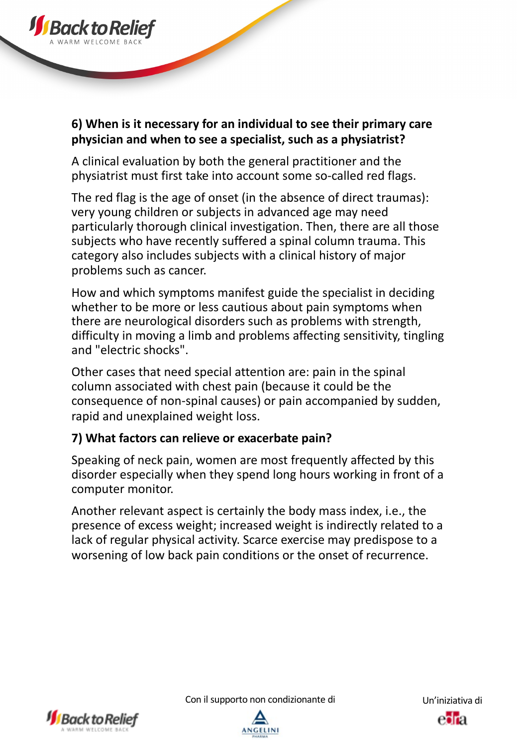

A clinical evaluation by both the general practitioner and the physiatrist must first take into account some so-called red flags.

The red flag is the age of onset (in the absence of direct traumas): very young children or subjects in advanced age may need particularly thorough clinical investigation. Then, there are all those subjects who have recently suffered a spinal column trauma. This category also includes subjects with a clinical history of major problems such as cancer.

How and which symptoms manifest guide the specialist in deciding whether to be more or less cautious about pain symptoms when there are neurological disorders such as problems with strength, difficulty in moving a limb and problems affecting sensitivity, tingling and "electric shocks".

Other cases that need special attention are: pain in the spinal column associated with chest pain (because it could be the consequence of non-spinal causes) or pain accompanied by sudden, rapid and unexplained weight loss.

# **7) What factors can relieve or exacerbate pain?**

Speaking of neck pain, women are most frequently affected by this disorder especially when they spend long hours working in front of a computer monitor.

Another relevant aspect is certainly the body mass index, i.e., the presence of excess weight; increased weight is indirectly related to a lack of regular physical activity. Scarce exercise may predispose to a worsening of low back pain conditions or the onset of recurrence.





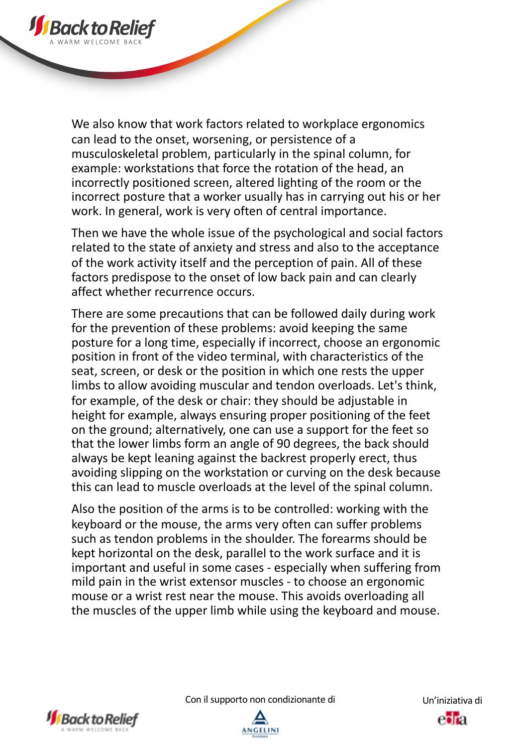

We also know that work factors related to workplace ergonomics can lead to the onset, worsening, or persistence of a musculoskeletal problem, particularly in the spinal column, for example: workstations that force the rotation of the head, an incorrectly positioned screen, altered lighting of the room or the incorrect posture that a worker usually has in carrying out his or her work. In general, work is very often of central importance.

Then we have the whole issue of the psychological and social factors related to the state of anxiety and stress and also to the acceptance of the work activity itself and the perception of pain. All of these factors predispose to the onset of low back pain and can clearly affect whether recurrence occurs.

There are some precautions that can be followed daily during work for the prevention of these problems: avoid keeping the same posture for a long time, especially if incorrect, choose an ergonomic position in front of the video terminal, with characteristics of the seat, screen, or desk or the position in which one rests the upper limbs to allow avoiding muscular and tendon overloads. Let's think, for example, of the desk or chair: they should be adjustable in height for example, always ensuring proper positioning of the feet on the ground; alternatively, one can use a support for the feet so that the lower limbs form an angle of 90 degrees, the back should always be kept leaning against the backrest properly erect, thus avoiding slipping on the workstation or curving on the desk because this can lead to muscle overloads at the level of the spinal column.

Also the position of the arms is to be controlled: working with the keyboard or the mouse, the arms very often can suffer problems such as tendon problems in the shoulder. The forearms should be kept horizontal on the desk, parallel to the work surface and it is important and useful in some cases - especially when suffering from mild pain in the wrist extensor muscles - to choose an ergonomic mouse or a wrist rest near the mouse. This avoids overloading all the muscles of the upper limb while using the keyboard and mouse.



Con il supporto non condizionante di Un'iniziativa di

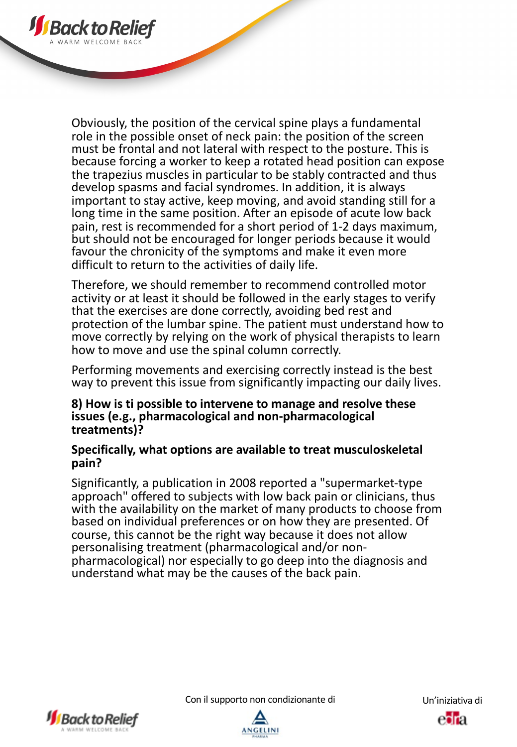

Obviously, the position of the cervical spine plays a fundamental role in the possible onset of neck pain: the position of the screen must be frontal and not lateral with respect to the posture. This is because forcing a worker to keep a rotated head position can expose the trapezius muscles in particular to be stably contracted and thus develop spasms and facial syndromes. In addition, it is always important to stay active, keep moving, and avoid standing still for a long time in the same position. After an episode of acute low back pain, rest is recommended for a short period of 1-2 days maximum, but should not be encouraged for longer periods because it would favour the chronicity of the symptoms and make it even more difficult to return to the activities of daily life.

Therefore, we should remember to recommend controlled motor activity or at least it should be followed in the early stages to verify that the exercises are done correctly, avoiding bed rest and protection of the lumbar spine. The patient must understand how to move correctly by relying on the work of physical therapists to learn how to move and use the spinal column correctly.

Performing movements and exercising correctly instead is the best way to prevent this issue from significantly impacting our daily lives.

#### **8) How is ti possible to intervene to manage and resolve these issues (e.g., pharmacological and non-pharmacological treatments)?**

#### **Specifically, what options are available to treat musculoskeletal pain?**

Significantly, a publication in 2008 reported a "supermarket-type approach" offered to subjects with low back pain or clinicians, thus with the availability on the market of many products to choose from based on individual preferences or on how they are presented. Of course, this cannot be the right way because it does not allow pharmacological) nor especially to go deep into the diagnosis and understand what may be the causes of the back pain.





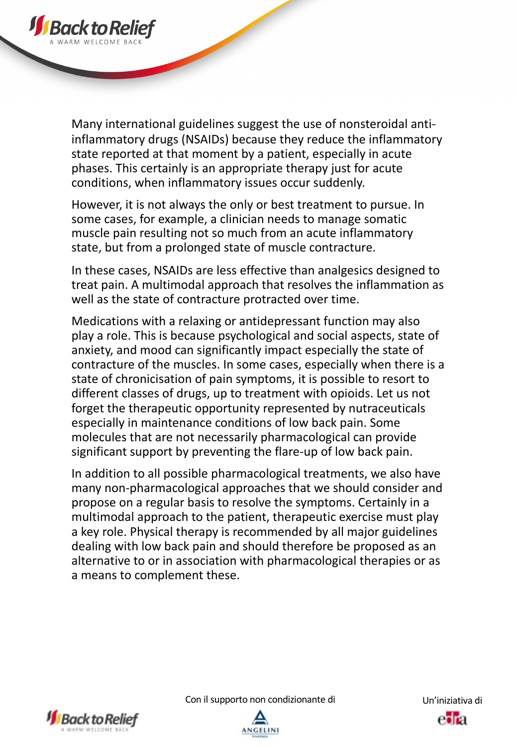

Many international guidelines suggest the use of nonsteroidal antiinflammatory drugs (NSAIDs) because they reduce the inflammatory state reported at that moment by a patient, especially in acute phases. This certainly is an appropriate therapy just for acute conditions, when inflammatory issues occur suddenly.

However, it is not always the only or best treatment to pursue. In some cases, for example, a clinician needs to manage somatic muscle pain resulting not so much from an acute inflammatory state, but from a prolonged state of muscle contracture.

In these cases, NSAIDs are less effective than analgesics designed to treat pain. A multimodal approach that resolves the inflammation as well as the state of contracture protracted over time.

Medications with a relaxing or antidepressant function may also play a role. This is because psychological and social aspects, state of anxiety, and mood can significantly impact especially the state of contracture of the muscles. In some cases, especially when there is a state of chronicisation of pain symptoms, it is possible to resort to different classes of drugs, up to treatment with opioids. Let us not forget the therapeutic opportunity represented by nutraceuticals especially in maintenance conditions of low back pain. Some molecules that are not necessarily pharmacological can provide significant support by preventing the flare-up of low back pain.

In addition to all possible pharmacological treatments, we also have many non-pharmacological approaches that we should consider and propose on a regular basis to resolve the symptoms. Certainly in a multimodal approach to the patient, therapeutic exercise must play a key role. Physical therapy is recommended by all major guidelines dealing with low back pain and should therefore be proposed as an alternative to or in association with pharmacological therapies or as a means to complement these.



Con il supporto non condizionante di Un'iniziativa di



esta